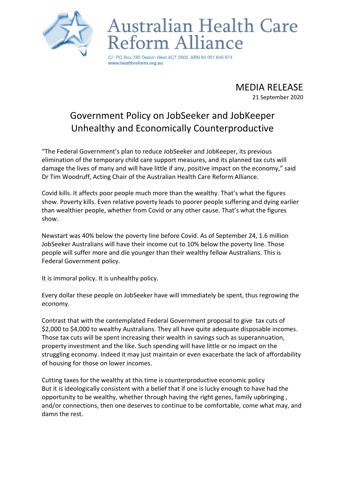

## Australian Health Care form Alliance

PO Box 280 Deakin West ACT 2600 ABN 64 051 645 674 www.healthreform.org.au

> MEDIA RELEASE 21 September 2020

## Government Policy on JobSeeker and JobKeeper Unhealthy and Economically Counterproductive

"The Federal Government's plan to reduce JobSeeker and JobKeeper, its previous elimination of the temporary child care support measures, and its planned tax cuts will damage the lives of many and will have little if any, positive impact on the economy," said Dr Tim Woodruff, Acting Chair of the Australian Health Care Reform Alliance.

Covid kills. It affects poor people much more than the wealthy. That's what the figures show. Poverty kills. Even relative poverty leads to poorer people suffering and dying earlier than wealthier people, whether from Covid or any other cause. That's what the figures show.

Newstart was 40% below the poverty line before Covid. As of September 24, 1.6 million JobSeeker Australians will have their income cut to 10% below the poverty line. Those people will suffer more and die younger than their wealthy fellow Australians. This is Federal Government policy.

It is immoral policy. It is unhealthy policy.

Every dollar these people on JobSeeker have will immediately be spent, thus regrowing the economy.

Contrast that with the contemplated Federal Government proposal to give tax cuts of \$2,000 to \$4,000 to wealthy Australians. They all have quite adequate disposable incomes. Those tax cuts will be spent increasing their wealth in savings such as superannuation, property investment and the like. Such spending will have little or no impact on the struggling economy. Indeed it may just maintain or even exacerbate the lack of affordability of housing for those on lower incomes.

Cutting taxes for the wealthy at this time is counterproductive economic policy But it is ideologically consistent with a belief that if one is lucky enough to have had the opportunity to be wealthy, whether through having the right genes, family upbringing , and/or connections, then one deserves to continue to be comfortable, come what may, and damn the rest.